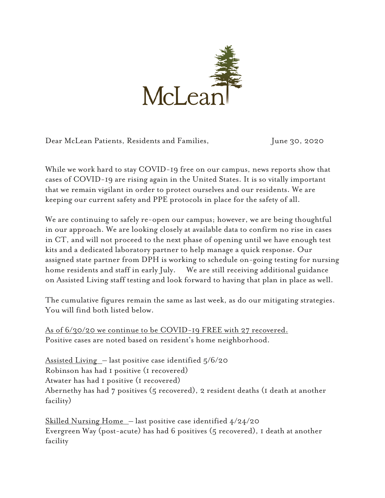

Dear McLean Patients, Residents and Families, June 30, 2020

While we work hard to stay COVID-19 free on our campus, news reports show that cases of COVID-19 are rising again in the United States. It is so vitally important that we remain vigilant in order to protect ourselves and our residents. We are keeping our current safety and PPE protocols in place for the safety of all.

We are continuing to safely re-open our campus; however, we are being thoughtful in our approach. We are looking closely at available data to confirm no rise in cases in CT, and will not proceed to the next phase of opening until we have enough test kits and a dedicated laboratory partner to help manage a quick response. Our assigned state partner from DPH is working to schedule on-going testing for nursing home residents and staff in early July. We are still receiving additional guidance on Assisted Living staff testing and look forward to having that plan in place as well.

The cumulative figures remain the same as last week, as do our mitigating strategies. You will find both listed below.

As of 6/30/20 we continue to be COVID-19 FREE with 27 recovered. Positive cases are noted based on resident's home neighborhood.

Assisted Living – last positive case identified 5/6/20 Robinson has had 1 positive (1 recovered) Atwater has had 1 positive (1 recovered) Abernethy has had 7 positives (5 recovered), 2 resident deaths (1 death at another facility)

<u>Skilled Nursing Home</u> – last positive case identified  $4/24/20$ Evergreen Way (post-acute) has had 6 positives (5 recovered), 1 death at another facility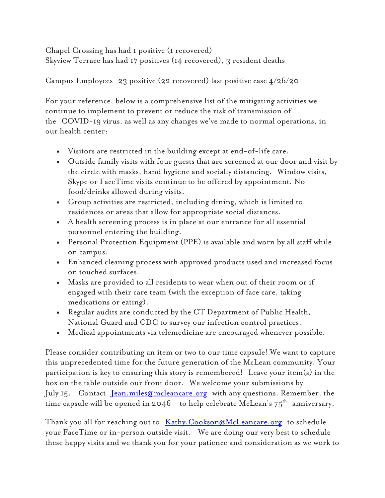Chapel Crossing has had 1 positive (1 recovered) Skyview Terrace has had 17 positives (14 recovered), 3 resident deaths

## Campus Employees 23 positive (22 recovered) last positive case 4/26/20

For your reference, below is a comprehensive list of the mitigating activities we continue to implement to prevent or reduce the risk of transmission of the COVID-19 virus, as well as any changes we've made to normal operations, in our health center:

- Visitors are restricted in the building except at end-of-life care.
- Outside family visits with four guests that are screened at our door and visit by the circle with masks, hand hygiene and socially distancing. Window visits, Skype or FaceTime visits continue to be offered by appointment. No food/drinks allowed during visits.
- Group activities are restricted, including dining, which is limited to residences or areas that allow for appropriate social distances.
- A health screening process is in place at our entrance for all essential personnel entering the building.
- Personal Protection Equipment (PPE) is available and worn by all staff while on campus.
- Enhanced cleaning process with approved products used and increased focus on touched surfaces.
- Masks are provided to all residents to wear when out of their room or if engaged with their care team (with the exception of face care, taking medications or eating).
- Regular audits are conducted by the CT Department of Public Health, National Guard and CDC to survey our infection control practices.
- Medical appointments via telemedicine are encouraged whenever possible.

Please consider contributing an item or two to our time capsule! We want to capture this unprecedented time for the future generation of the McLean community. Your participation is key to ensuring this story is remembered! Leave your item(s) in the box on the table outside our front door. We welcome your submissions by July 15. Contact [Jean.miles@mcleancare.org](mailto:Jean.miles@mcleancare.org) with any questions. Remember, the time capsule will be opened in  $2046 -$  to help celebrate McLean's  $75<sup>th</sup>$  anniversary.

Thank you all for reaching out to Kathy. Cookson@McLeancare.org to schedule your FaceTime or in-person outside visit. We are doing our very best to schedule these happy visits and we thank you for your patience and consideration as we work to